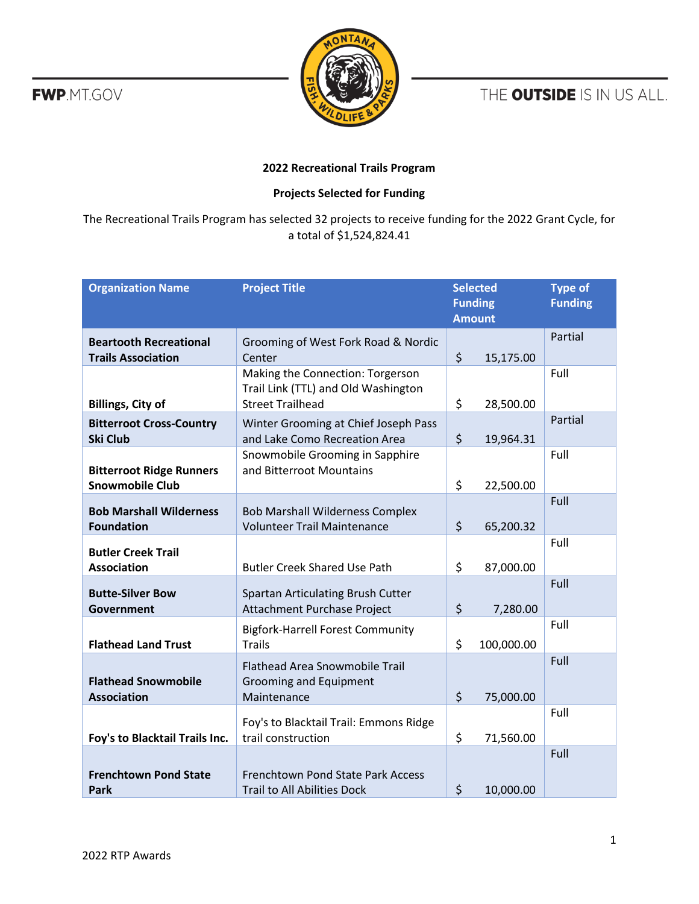**FWP.MT.GOV** 



THE OUTSIDE IS IN US ALL.

## **2022 Recreational Trails Program**

## **Projects Selected for Funding**

The Recreational Trails Program has selected 32 projects to receive funding for the 2022 Grant Cycle, for a total of \$1,524,824.41

| <b>Organization Name</b>                                   | <b>Project Title</b>                                                                               | <b>Selected</b><br><b>Funding</b><br><b>Amount</b> |            | <b>Type of</b><br><b>Funding</b> |
|------------------------------------------------------------|----------------------------------------------------------------------------------------------------|----------------------------------------------------|------------|----------------------------------|
| <b>Beartooth Recreational</b><br><b>Trails Association</b> | Grooming of West Fork Road & Nordic<br>Center                                                      | $\zeta$                                            | 15,175.00  | Partial                          |
| <b>Billings, City of</b>                                   | Making the Connection: Torgerson<br>Trail Link (TTL) and Old Washington<br><b>Street Trailhead</b> | \$                                                 | 28,500.00  | Full                             |
| <b>Bitterroot Cross-Country</b><br><b>Ski Club</b>         | Winter Grooming at Chief Joseph Pass<br>and Lake Como Recreation Area                              | \$                                                 | 19,964.31  | Partial                          |
| <b>Bitterroot Ridge Runners</b><br><b>Snowmobile Club</b>  | Snowmobile Grooming in Sapphire<br>and Bitterroot Mountains                                        | \$                                                 | 22,500.00  | Full                             |
| <b>Bob Marshall Wilderness</b><br><b>Foundation</b>        | <b>Bob Marshall Wilderness Complex</b><br><b>Volunteer Trail Maintenance</b>                       | \$                                                 | 65,200.32  | Full                             |
| <b>Butler Creek Trail</b><br><b>Association</b>            | <b>Butler Creek Shared Use Path</b>                                                                | \$                                                 | 87,000.00  | Full                             |
| <b>Butte-Silver Bow</b><br><b>Government</b>               | Spartan Articulating Brush Cutter<br>Attachment Purchase Project                                   | \$                                                 | 7,280.00   | Full                             |
| <b>Flathead Land Trust</b>                                 | <b>Bigfork-Harrell Forest Community</b><br><b>Trails</b>                                           | \$                                                 | 100,000.00 | Full                             |
| <b>Flathead Snowmobile</b><br><b>Association</b>           | <b>Flathead Area Snowmobile Trail</b><br><b>Grooming and Equipment</b><br>Maintenance              | \$                                                 | 75,000.00  | Full                             |
| Foy's to Blacktail Trails Inc.                             | Foy's to Blacktail Trail: Emmons Ridge<br>trail construction                                       | \$                                                 | 71,560.00  | Full                             |
| <b>Frenchtown Pond State</b><br>Park                       | Frenchtown Pond State Park Access<br><b>Trail to All Abilities Dock</b>                            | \$                                                 | 10,000.00  | Full                             |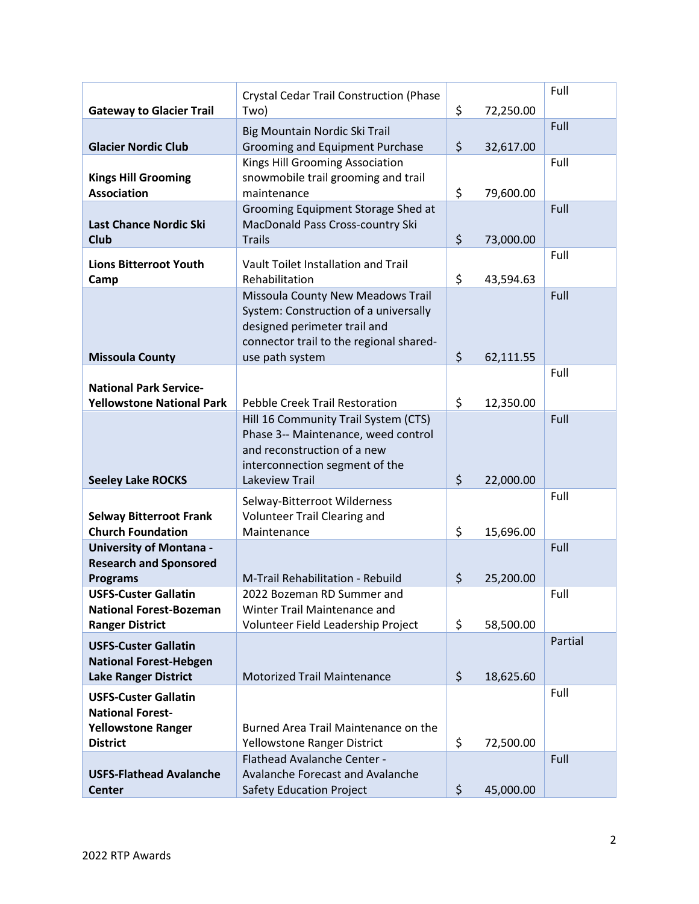|                                  | <b>Crystal Cedar Trail Construction (Phase</b>                   |                 | Full    |
|----------------------------------|------------------------------------------------------------------|-----------------|---------|
| <b>Gateway to Glacier Trail</b>  | Two)                                                             | \$<br>72,250.00 |         |
|                                  |                                                                  |                 | Full    |
| <b>Glacier Nordic Club</b>       | Big Mountain Nordic Ski Trail<br>Grooming and Equipment Purchase | \$<br>32,617.00 |         |
|                                  | Kings Hill Grooming Association                                  |                 | Full    |
| <b>Kings Hill Grooming</b>       | snowmobile trail grooming and trail                              |                 |         |
| <b>Association</b>               | maintenance                                                      | \$<br>79,600.00 |         |
|                                  | Grooming Equipment Storage Shed at                               |                 | Full    |
| <b>Last Chance Nordic Ski</b>    | MacDonald Pass Cross-country Ski                                 |                 |         |
| <b>Club</b>                      | <b>Trails</b>                                                    | \$<br>73,000.00 |         |
|                                  |                                                                  |                 | Full    |
| <b>Lions Bitterroot Youth</b>    | Vault Toilet Installation and Trail                              |                 |         |
| Camp                             | Rehabilitation                                                   | \$<br>43,594.63 |         |
|                                  | Missoula County New Meadows Trail                                |                 | Full    |
|                                  | System: Construction of a universally                            |                 |         |
|                                  | designed perimeter trail and                                     |                 |         |
|                                  | connector trail to the regional shared-                          |                 |         |
| <b>Missoula County</b>           | use path system                                                  | \$<br>62,111.55 | Full    |
| <b>National Park Service-</b>    |                                                                  |                 |         |
| <b>Yellowstone National Park</b> | <b>Pebble Creek Trail Restoration</b>                            | \$<br>12,350.00 |         |
|                                  | Hill 16 Community Trail System (CTS)                             |                 | Full    |
|                                  | Phase 3-- Maintenance, weed control                              |                 |         |
|                                  | and reconstruction of a new                                      |                 |         |
|                                  | interconnection segment of the                                   |                 |         |
| <b>Seeley Lake ROCKS</b>         | Lakeview Trail                                                   | \$<br>22,000.00 |         |
|                                  | Selway-Bitterroot Wilderness                                     |                 | Full    |
| <b>Selway Bitterroot Frank</b>   | <b>Volunteer Trail Clearing and</b>                              |                 |         |
| <b>Church Foundation</b>         | Maintenance                                                      | \$<br>15,696.00 |         |
| <b>University of Montana -</b>   |                                                                  |                 | Full    |
| <b>Research and Sponsored</b>    |                                                                  |                 |         |
| <b>Programs</b>                  | M-Trail Rehabilitation - Rebuild                                 | \$<br>25,200.00 |         |
| <b>USFS-Custer Gallatin</b>      | 2022 Bozeman RD Summer and                                       |                 | Full    |
| <b>National Forest-Bozeman</b>   | Winter Trail Maintenance and                                     |                 |         |
| <b>Ranger District</b>           | Volunteer Field Leadership Project                               | \$<br>58,500.00 |         |
| <b>USFS-Custer Gallatin</b>      |                                                                  |                 | Partial |
| <b>National Forest-Hebgen</b>    |                                                                  |                 |         |
| <b>Lake Ranger District</b>      | <b>Motorized Trail Maintenance</b>                               | \$<br>18,625.60 |         |
| <b>USFS-Custer Gallatin</b>      |                                                                  |                 | Full    |
| <b>National Forest-</b>          |                                                                  |                 |         |
| <b>Yellowstone Ranger</b>        | Burned Area Trail Maintenance on the                             |                 |         |
| <b>District</b>                  | Yellowstone Ranger District                                      | \$<br>72,500.00 |         |
|                                  | Flathead Avalanche Center -                                      |                 | Full    |
| <b>USFS-Flathead Avalanche</b>   | Avalanche Forecast and Avalanche                                 |                 |         |
| <b>Center</b>                    | <b>Safety Education Project</b>                                  | \$<br>45,000.00 |         |